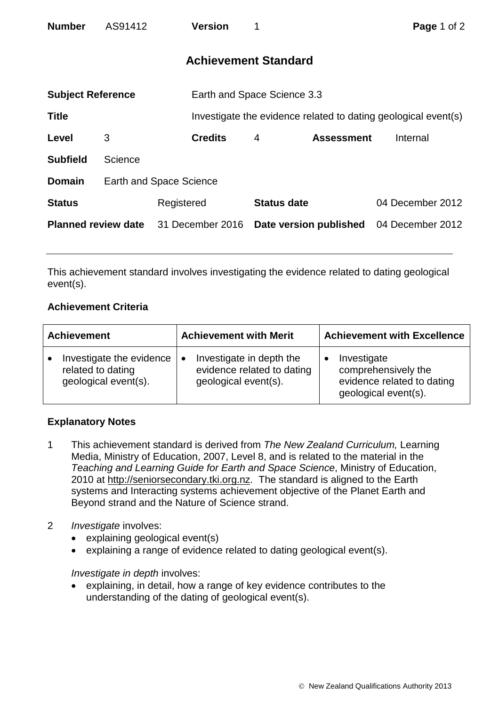| <b>Number</b>              | AS91412                        |                  | <b>Version</b>                                                 |                        |                   | Page 1 of 2      |  |
|----------------------------|--------------------------------|------------------|----------------------------------------------------------------|------------------------|-------------------|------------------|--|
|                            |                                |                  | <b>Achievement Standard</b>                                    |                        |                   |                  |  |
| <b>Subject Reference</b>   |                                |                  | Earth and Space Science 3.3                                    |                        |                   |                  |  |
| <b>Title</b>               |                                |                  | Investigate the evidence related to dating geological event(s) |                        |                   |                  |  |
| Level                      | 3                              |                  | <b>Credits</b>                                                 | 4                      | <b>Assessment</b> | Internal         |  |
| <b>Subfield</b>            | Science                        |                  |                                                                |                        |                   |                  |  |
| <b>Domain</b>              | <b>Earth and Space Science</b> |                  |                                                                |                        |                   |                  |  |
| <b>Status</b>              |                                | Registered       |                                                                | <b>Status date</b>     |                   | 04 December 2012 |  |
| <b>Planned review date</b> |                                | 31 December 2016 |                                                                | Date version published |                   | 04 December 2012 |  |

This achievement standard involves investigating the evidence related to dating geological event(s).

## **Achievement Criteria**

| <b>Achievement</b>       | <b>Achievement with Merit</b> | <b>Achievement with Excellence</b> |  |
|--------------------------|-------------------------------|------------------------------------|--|
| Investigate the evidence | Investigate in depth the      | Investigate                        |  |
| $\bullet$                | $\bullet$                     | comprehensively the                |  |
| related to dating        | evidence related to dating    | evidence related to dating         |  |
| geological event(s).     | geological event(s).          | geological event(s).               |  |

## **Explanatory Notes**

- 1 This achievement standard is derived from *The New Zealand Curriculum,* Learning Media, Ministry of Education, 2007, Level 8, and is related to the material in the *Teaching and Learning Guide for Earth and Space Science*, Ministry of Education, 2010 at http://seniorsecondary.tki.org.nz. The standard is aligned to the Earth systems and Interacting systems achievement objective of the Planet Earth and Beyond strand and the Nature of Science strand.
- 2 *Investigate* involves:
	- explaining geological event(s)
	- explaining a range of evidence related to dating geological event(s).

*Investigate in depth involves:* 

• explaining, in detail, how a range of key evidence contributes to the understanding of the dating of geological event(s).